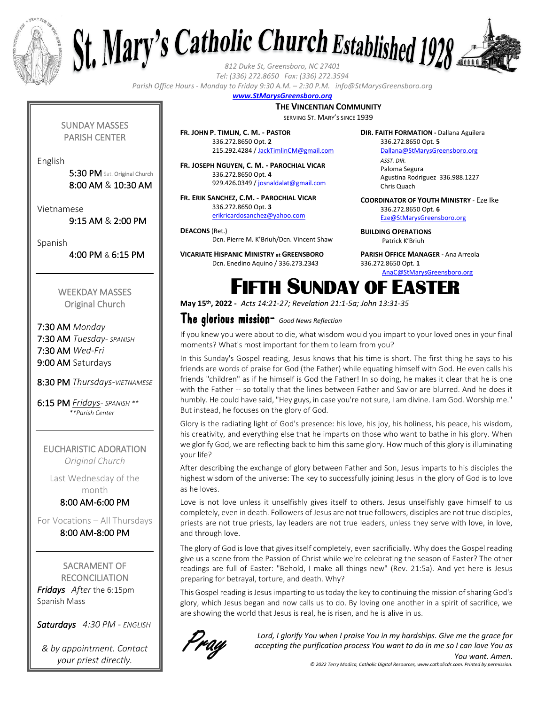



*Tel: (336) 272.8650 Fax: (336) 272.3594*

*Parish Office Hours - Monday to Friday 9:30 A.M. – 2:30 P.M. info@StMarysGreensboro.org*

#### *www.StMarysGreensboro.org*

#### **THE VINCENTIAN COMMUNITY**

SERVING ST. MARY'S SINCE 1939

SUNDAY MASSES PARISH CENTER

English

5:30 PM Sat. Original Church 8:00 AM & 10:30 AM

Vietnamese

9:15 AM & 2:00 PM

Spanish

4:00 PM & 6:15 PM

WEEKDAY MASSES Original Church

7:30 AM *Monday* 7:30 AM *Tuesday- SPANISH* 7:30 AM *Wed-Fri* 9:00 AM Saturdays

8:30 PM *Thursdays-VIETNAMESE*

6:15 PM *Fridays- SPANISH \*\* \*\*Parish Center*

EUCHARISTIC ADORATION *Original Church*

Last Wednesday of the month

8:00 AM-6:00 PM

For Vocations – All Thursdays 8:00 AM-8:00 PM

SACRAMENT OF **RECONCILIATION** *Fridays After* the 6:15pm Spanish Mass

*Saturdays 4:30 PM - ENGLISH*

*& by appointment. Contact your priest directly.*

**FR. JOHN P. TIMLIN, C. M. - PASTOR** 336.272.8650 Opt. **2** 215.292.4284 / JackTimlinCM@gmail.com

**FR. JOSEPH NGUYEN, C. M. - PAROCHIAL VICAR** 336.272.8650 Opt. **4** 929.426.0349 / josnaldalat@gmail.com

**FR. ERIK SANCHEZ, C.M. - PAROCHIAL VICAR** 336.272.8650 Opt. **3** erikricardosanchez@yahoo.com

**DEACONS** (Ret.) Dcn. Pierre M. K'Briuh/Dcn. Vincent Shaw

**VICARIATE HISPANIC MINISTRY at GREENSBORO** Dcn. Enedino Aquino / 336.273.2343

**DIR. FAITH FORMATION -** Dallana Aguilera 336.272.8650 Opt. **5**

Dallana@StMarysGreensboro.org *ASST. DIR.* Paloma Segura Agustina Rodriguez 336.988.1227 Chris Quach

**COORDINATOR OF YOUTH MINISTRY -** Eze Ike 336.272.8650 Opt. **6** Eze@StMarysGreensboro.org

**BUILDING OPERATIONS**  Patrick K'Briuh

**PARISH OFFICE MANAGER -** Ana Arreola 336.272.8650 Opt. **1** AnaC@StMarysGreensboro.org

# FIFTH SUNDAY OF EASTER

**May 15th, 2022 -** *Acts 14:21-27; Revelation 21:1-5a; John 13:31-35*

### The glorious mission- *Good News Reflection*

If you knew you were about to die, what wisdom would you impart to your loved ones in your final moments? What's most important for them to learn from you?

In this Sunday's Gospel reading, Jesus knows that his time is short. The first thing he says to his friends are words of praise for God (the Father) while equating himself with God. He even calls his friends "children" as if he himself is God the Father! In so doing, he makes it clear that he is one with the Father -- so totally that the lines between Father and Savior are blurred. And he does it humbly. He could have said, "Hey guys, in case you're not sure, I am divine. I am God. Worship me." But instead, he focuses on the glory of God.

Glory is the radiating light of God's presence: his love, his joy, his holiness, his peace, his wisdom, his creativity, and everything else that he imparts on those who want to bathe in his glory. When we glorify God, we are reflecting back to him this same glory. How much of this glory is illuminating your life?

After describing the exchange of glory between Father and Son, Jesus imparts to his disciples the highest wisdom of the universe: The key to successfully joining Jesus in the glory of God is to love as he loves.

Love is not love unless it unselfishly gives itself to others. Jesus unselfishly gave himself to us completely, even in death. Followers of Jesus are not true followers, disciples are not true disciples, priests are not true priests, lay leaders are not true leaders, unless they serve with love, in love, and through love.

The glory of God is love that gives itself completely, even sacrificially. Why does the Gospel reading give us a scene from the Passion of Christ while we're celebrating the season of Easter? The other readings are full of Easter: "Behold, I make all things new" (Rev. 21:5a). And yet here is Jesus preparing for betrayal, torture, and death. Why?

This Gospel reading is Jesus imparting to us today the key to continuing the mission of sharing God's glory, which Jesus began and now calls us to do. By loving one another in a spirit of sacrifice, we are showing the world that Jesus is real, he is risen, and he is alive in us.



*Lord, I glorify You when I praise You in my hardships. Give me the grace for accepting the purification process You want to do in me so I can love You as You want. Amen.*

*© 2022 Terry Modica, Catholic Digital Resources, www.catholicdr.com. Printed by permission.*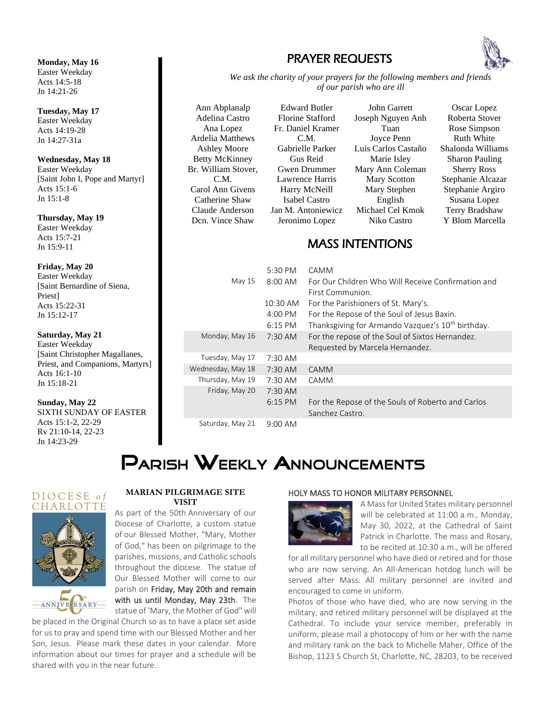**Monday, May 16** Easter Weekday Acts 14:5-18 Jn 14:21-26

**Tuesday, May 17** Easter Weekday Acts 14:19-28 Jn 14:27-31a

**Wednesday, May 18** Easter Weekday [Saint John I, Pope and Martyr] Acts 15:1-6 Jn 15:1-8

**Thursday, May 19** Easter Weekday Acts 15:7-21 Jn 15:9-11

#### **Friday, May 20**

Easter Weekday [Saint Bernardine of Siena, Priest] Acts 15:22-31 Jn 15:12-17

**Saturday, May 21**

Easter Weekday [Saint Christopher Magallanes, Priest, and Companions, Martyrs] Acts 16:1-10 Jn 15:18-21

**Sunday, May 22**

SIXTH SUNDAY OF EASTER Acts 15:1-2, 22-29 Rv 21:10-14, 22-23 Jn 14:23-29

## PRAYER REQUESTS



*We ask the charity of your prayers for the following members and friends of our parish who are ill*

Ann Abplanalp Adelina Castro Ana Lopez Ardelia Matthews Ashley Moore Betty McKinney Br. William Stover, C.M. Carol Ann Givens Catherine Shaw Claude Anderson Dcn. Vince Shaw



John Garrett Joseph Nguyen Anh Tuan Joyce Penn Luis Carlos Castaño Marie Isley Mary Ann Coleman Mary Scotton Mary Stephen English Michael Cel Kmok Niko Castro

Oscar Lopez Roberta Stover Rose Simpson Ruth White Shalonda Williams Sharon Pauling Sherry Ross Stephanie Alcazar Stephanie Argiro Susana Lopez Terry Bradshaw Y Blom Marcella

### MASS INTENTIONS

|                   | 5:30 PM           | CAMM                                                                 |
|-------------------|-------------------|----------------------------------------------------------------------|
| May 15            | $8:00$ AM         | For Our Children Who Will Receive Confirmation and                   |
|                   |                   | First Communion.                                                     |
|                   | 10:30 AM          | For the Parishioners of St. Mary's.                                  |
|                   | 4:00 PM           | For the Repose of the Soul of Jesus Baxin.                           |
|                   | $6:15 \text{ PM}$ | Thanksgiving for Armando Vazquez's 10 <sup>th</sup> birthday.        |
| Monday, May 16    | $7:30$ AM         | For the repose of the Soul of Sixtos Hernandez.                      |
|                   |                   | Requested by Marcela Hernandez.                                      |
| Tuesday, May 17   | 7:30 AM           |                                                                      |
| Wednesday, May 18 | $7:30$ AM         | CAMM                                                                 |
| Thursday, May 19  | 7:30 AM           | CAMM                                                                 |
| Friday, May 20    | $7:30$ AM         |                                                                      |
|                   | $6:15$ PM         | For the Repose of the Souls of Roberto and Carlos<br>Sanchez Castro. |
| Saturday, May 21  | $9:00$ AM         |                                                                      |

# **PARISH WEEKLY ANNOUNCEMENTS**

#### DIOCESE of CHARLOTTE



1972 **ANNIVE** RSARY 2022

#### **MARIAN PILGRIMAGE SITE VISIT**

As part of the 50th Anniversary of our Diocese of Charlotte, a custom statue of our Blessed Mother, "Mary, Mother of God," has been on pilgrimage to the parishes, missions, and Catholic schools throughout the diocese. The statue of Our Blessed Mother will come to our parish on Friday, May 20th and remain with us until Monday, May 23th. The statue of 'Mary, the Mother of God" will

be placed in the Original Church so as to have a place set aside for us to pray and spend time with our Blessed Mother and her Son, Jesus. Please mark these dates in your calendar. More information about our times for prayer and a schedule will be shared with you in the near future.

#### HOLY MASS TO HONOR MILITARY PERSONNEL



A Mass for United States military personnel will be celebrated at 11:00 a.m., Monday, May 30, 2022, at the Cathedral of Saint Patrick in Charlotte. The mass and Rosary, to be recited at 10:30 a.m., will be offered

for all military personnel who have died or retired and for those who are now serving. An All-American hotdog lunch will be served after Mass. All military personnel are invited and encouraged to come in uniform.

Photos of those who have died, who are now serving in the military, and retired military personnel will be displayed at the Cathedral. To include your service member, preferably in uniform, please mail a photocopy of him or her with the name and military rank on the back to Michelle Maher, Office of the Bishop, 1123 S Church St, Charlotte, NC, 28203, to be received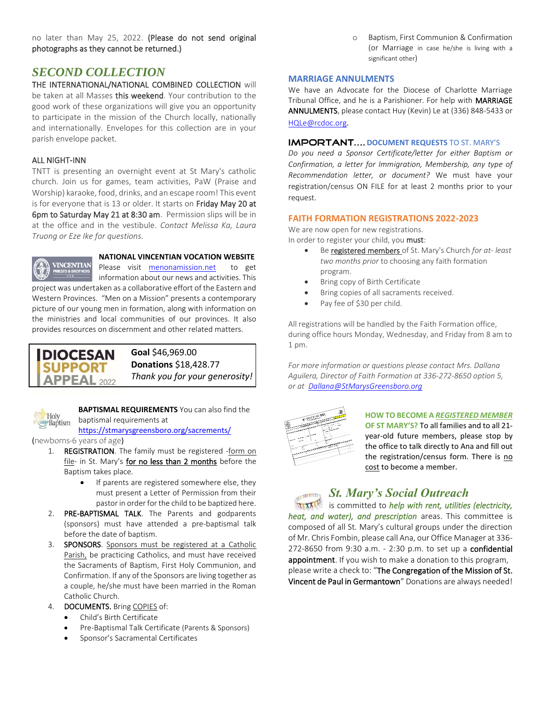no later than May 25, 2022. (Please do not send original photographs as they cannot be returned.)

### *SECOND COLLECTION*

THE INTERNATIONAL/NATIONAL COMBINED COLLECTION will be taken at all Masses this weekend. Your contribution to the good work of these organizations will give you an opportunity to participate in the mission of the Church locally, nationally and internationally. Envelopes for this collection are in your parish envelope packet.

#### ALL NIGHT-INN

TNTT is presenting an overnight event at St Mary's catholic church. Join us for games, team activities, PaW (Praise and Worship) karaoke, food, drinks, and an escape room! This event is for everyone that is 13 or older. It starts on Friday May 20 at 6pm to Saturday May 21 at 8:30 am. Permission slips will be in at the office and in the vestibule. *Contact Melissa Ka, Laura Truong or Eze Ike for questions.*



#### **NATIONAL VINCENTIAN VOCATION WEBSITE**

Please visit menonamission.net to get information about our news and activities. This project was undertaken as a collaborative effort of the Eastern and Western Provinces. "Men on a Mission" presents a contemporary picture of our young men in formation, along with information on the ministries and local communities of our provinces. It also provides resources on discernment and other related matters.



**Goal** \$46,969.00 **Donations** \$18,428.77 *Thank you for your generosity!*



**BAPTISMAL REQUIREMENTS** You can also find the baptismal requirements at

https://stmarysgreensboro.org/sacrements/

(newborns-6 years of age)

- 1. REGISTRATION. The family must be registered -form on file- in St. Mary's for no less than 2 months before the Baptism takes place.
	- If parents are registered somewhere else, they must present a Letter of Permission from their pastor in order for the child to be baptized here.
- 2. PRE-BAPTISMAL TALK. The Parents and godparents (sponsors) must have attended a pre-baptismal talk before the date of baptism.
- 3. SPONSORS. Sponsors must be registered at a Catholic Parish, be practicing Catholics, and must have received the Sacraments of Baptism, First Holy Communion, and Confirmation. If any of the Sponsors are living together as a couple, he/she must have been married in the Roman Catholic Church.
- 4. DOCUMENTS. Bring COPIES of:
	- Child's Birth Certificate
	- Pre-Baptismal Talk Certificate (Parents & Sponsors)
	- Sponsor's Sacramental Certificates

Baptism, First Communion & Confirmation (or Marriage in case he/she is living with a significant other)

#### **MARRIAGE ANNULMENTS**

We have an Advocate for the Diocese of Charlotte Marriage Tribunal Office, and he is a Parishioner. For help with MARRIAGE ANNULMENTS, please contact Huy (Kevin) Le at (336) 848-5433 or

HQLe@rcdoc.org*.*

#### **IMPORTANT.... DOCUMENT REQUESTS TO ST. MARY'S**

*Do you need a Sponsor Certificate/letter for either Baptism or Confirmation, a letter for Immigration, Membership, any type of Recommendation letter, or document?* We must have your registration/census ON FILE for at least 2 months prior to your request.

#### **FAITH FORMATION REGISTRATIONS 2022-2023**

We are now open for new registrations. In order to register your child, you must:

- Be registered members of St. Mary's Church *for at- least two months prior* to choosing any faith formation program.
- Bring copy of Birth Certificate
- Bring copies of all sacraments received.
- Pay fee of \$30 per child.

All registrations will be handled by the Faith Formation office, during office hours Monday, Wednesday, and Friday from 8 am to 1 pm.

*For more information or questions please contact Mrs. Dallana Aguilera, Director of Faith Formation at 336-272-8650 option 5, or at Dallana@StMarysGreensboro.org*



**HOW TO BECOME A** *REGISTERED MEMBER* **OF ST MARY'S?** To all families and to all 21 year-old future members, please stop by the office to talk directly to Ana and fill out the registration/census form. There is no cost to become a member.

## **St. Mary's Social Outreach**

is committed to *help with rent, utilities (electricity, heat, and water), and prescription* areas. This committee is composed of all St. Mary's cultural groups under the direction of Mr. Chris Fombin, please call Ana, our Office Manager at 336- 272-8650 from 9:30 a.m. - 2:30 p.m. to set up a confidential appointment. If you wish to make a donation to this program, please write a check to: "The Congregation of the Mission of St. Vincent de Paul in Germantown" Donations are always needed!